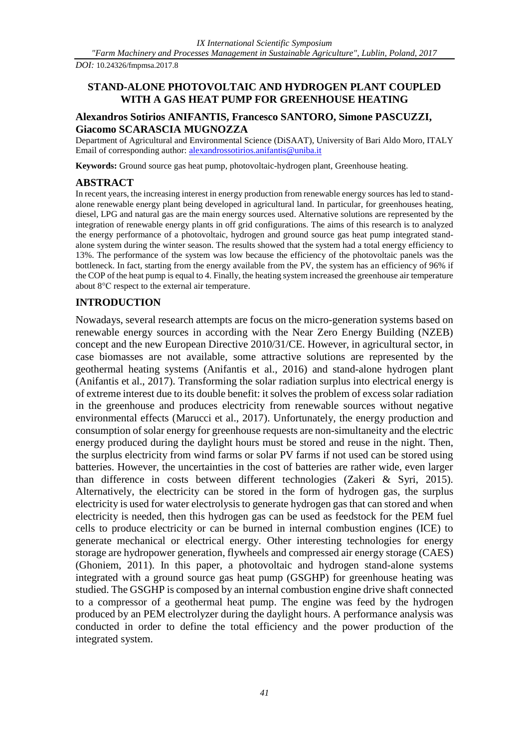*DOI:* 10.24326/fmpmsa.2017.8

# **STAND-ALONE PHOTOVOLTAIC AND HYDROGEN PLANT COUPLED WITH A GAS HEAT PUMP FOR GREENHOUSE HEATING**

# **Alexandros Sotirios ANIFANTIS, Francesco SANTORO, Simone PASCUZZI, Giacomo SCARASCIA MUGNOZZA**

Department of Agricultural and Environmental Science (DiSAAT), University of Bari Aldo Moro, ITALY Email of corresponding author: [alexandrossotirios.anifantis@uniba.it](mailto:alexandrossotirios.anifantis@uniba.it)

**Keywords:** Ground source gas heat pump, photovoltaic-hydrogen plant, Greenhouse heating.

# **ABSTRACT**

In recent years, the increasing interest in energy production from renewable energy sources has led to standalone renewable energy plant being developed in agricultural land. In particular, for greenhouses heating, diesel, LPG and natural gas are the main energy sources used. Alternative solutions are represented by the integration of renewable energy plants in off grid configurations. The aims of this research is to analyzed the energy performance of a photovoltaic, hydrogen and ground source gas heat pump integrated standalone system during the winter season. The results showed that the system had a total energy efficiency to 13%. The performance of the system was low because the efficiency of the photovoltaic panels was the bottleneck. In fact, starting from the energy available from the PV, the system has an efficiency of 96% if the COP of the heat pump is equal to 4. Finally, the heating system increased the greenhouse air temperature about 8°C respect to the external air temperature.

# **INTRODUCTION**

Nowadays, several research attempts are focus on the micro-generation systems based on renewable energy sources in according with the Near Zero Energy Building (NZEB) concept and the new European Directive 2010/31/CE. However, in agricultural sector, in case biomasses are not available, some attractive solutions are represented by the geothermal heating systems (Anifantis et al., 2016) and stand-alone hydrogen plant (Anifantis et al., 2017). Transforming the solar radiation surplus into electrical energy is of extreme interest due to its double benefit: it solves the problem of excess solar radiation in the greenhouse and produces electricity from renewable sources without negative environmental effects (Marucci et al., 2017). Unfortunately, the energy production and consumption of solar energy for greenhouse requests are non-simultaneity and the electric energy produced during the daylight hours must be stored and reuse in the night. Then, the surplus electricity from wind farms or solar PV farms if not used can be stored using batteries. However, the uncertainties in the cost of batteries are rather wide, even larger than difference in costs between different technologies (Zakeri & Syri, 2015). Alternatively, the electricity can be stored in the form of hydrogen gas, the surplus electricity is used for water electrolysis to generate hydrogen gas that can stored and when electricity is needed, then this hydrogen gas can be used as feedstock for the PEM fuel cells to produce electricity or can be burned in internal combustion engines (ICE) to generate mechanical or electrical energy. Other interesting technologies for energy storage are hydropower generation, flywheels and compressed air energy storage (CAES) (Ghoniem, 2011). In this paper, a photovoltaic and hydrogen stand-alone systems integrated with a ground source gas heat pump (GSGHP) for greenhouse heating was studied. The GSGHP is composed by an internal combustion engine drive shaft connected to a compressor of a geothermal heat pump. The engine was feed by the hydrogen produced by an PEM electrolyzer during the daylight hours. A performance analysis was conducted in order to define the total efficiency and the power production of the integrated system.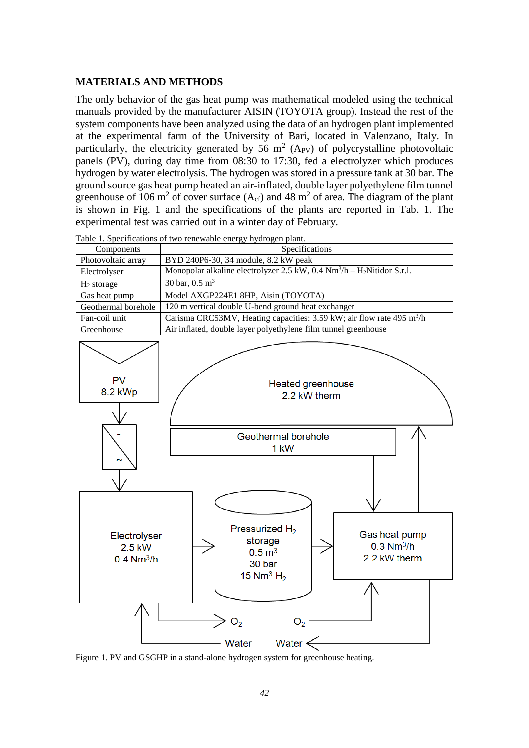## **MATERIALS AND METHODS**

The only behavior of the gas heat pump was mathematical modeled using the technical manuals provided by the manufacturer AISIN (TOYOTA group). Instead the rest of the system components have been analyzed using the data of an hydrogen plant implemented at the experimental farm of the University of Bari, located in Valenzano, Italy. In particularly, the electricity generated by 56  $m^2$  (A<sub>PV</sub>) of polycrystalline photovoltaic panels (PV), during day time from 08:30 to 17:30, fed a electrolyzer which produces hydrogen by water electrolysis. The hydrogen was stored in a pressure tank at 30 bar. The ground source gas heat pump heated an air-inflated, double layer polyethylene film tunnel greenhouse of 106 m<sup>2</sup> of cover surface (A<sub>cf</sub>) and 48 m<sup>2</sup> of area. The diagram of the plant is shown in Fig. 1 and the specifications of the plants are reported in Tab. 1. The experimental test was carried out in a winter day of February.

| Components          | raole 1. Specifications of two fenewable energy hydrogen plant.<br>Specifications                     |
|---------------------|-------------------------------------------------------------------------------------------------------|
| Photovoltaic array  | BYD 240P6-30, 34 module, 8.2 kW peak                                                                  |
| Electrolyser        | Monopolar alkaline electrolyzer 2.5 kW, $0.4 \text{ Nm}^3/\text{h} - \text{H}_2\text{Nitidor S.r.l.}$ |
| $H2$ storage        | 30 bar, $0.5 \text{ m}^3$                                                                             |
| Gas heat pump       | Model AXGP224E1 8HP, Aisin (TOYOTA)                                                                   |
| Geothermal borehole | 120 m vertical double U-bend ground heat exchanger                                                    |
| Fan-coil unit       | Carisma CRC53MV, Heating capacities: 3.59 kW; air flow rate 495 m <sup>3</sup> /h                     |
| Greenhouse          | Air inflated, double layer polyethylene film tunnel greenhouse                                        |

Table 1. Specifications of two renewable energy hydrogen plant.



Figure 1. PV and GSGHP in a stand-alone hydrogen system for greenhouse heating.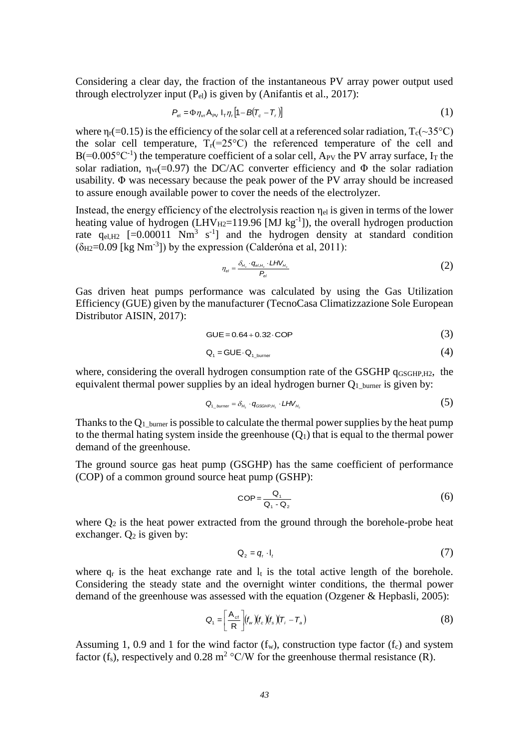Considering a clear day, the fraction of the instantaneous PV array power output used through electrolyzer input  $(P_{el})$  is given by (Anifantis et al., 2017):

$$
P_{\rm el} = \Phi \eta_{\rm vr} A_{\rm PV} I_{\rm r} \eta_{\rm r} [1 - B(T_{\rm c} - T_{\rm r})] \tag{1}
$$

where  $\eta_r$ (=0.15) is the efficiency of the solar cell at a referenced solar radiation,  $T_c$ (~35°C) the solar cell temperature,  $T_r(=25^{\circ}C)$  the referenced temperature of the cell and  $B(=0.005^{\circ}C^{-1})$  the temperature coefficient of a solar cell, A<sub>PV</sub> the PV array surface, I<sub>T</sub> the solar radiation,  $\eta_{vr}$ (=0.97) the DC/AC converter efficiency and  $\Phi$  the solar radiation usability.  $\Phi$  was necessary because the peak power of the PV array should be increased to assure enough available power to cover the needs of the electrolyzer.

Instead, the energy efficiency of the electrolysis reaction  $\eta_{el}$  is given in terms of the lower heating value of hydrogen (LHV $_{H2}$ =119.96 [MJ kg<sup>-1</sup>]), the overall hydrogen production rate  $q_{el, H2}$  [=0.00011 Nm<sup>3</sup> s<sup>-1</sup>] and the hydrogen density at standard condition  $(\delta_{H2}=0.09$  [kg Nm<sup>-3</sup>]) by the expression (Calderóna et al, 2011):

$$
\eta_{el} = \frac{\delta_{H_2} \cdot q_{el, H_2} \cdot LHV_{H_2}}{P_{el}} \tag{2}
$$

Gas driven heat pumps performance was calculated by using the Gas Utilization Efficiency (GUE) given by the manufacturer (TecnoCasa Climatizzazione Sole European Distributor AISIN, 2017):

$$
GUE = 0.64 + 0.32 \cdot COP \tag{3}
$$

$$
Q_1 = GUE \cdot Q_{1_b \text{burner}} \tag{4}
$$

where, considering the overall hydrogen consumption rate of the GSGHP q<sub>GSGHP,H2</sub>, the equivalent thermal power supplies by an ideal hydrogen burner  $Q_1$  burner is given by:

$$
Q_{1_b\text{numer}} = \delta_{H_2} \cdot q_{GSSHP, H_2} \cdot LHV_{H_2}
$$
 (5)

Thanks to the  $Q_1$  burner is possible to calculate the thermal power supplies by the heat pump to the thermal hating system inside the greenhouse  $(O<sub>1</sub>)$  that is equal to the thermal power demand of the greenhouse.

The ground source gas heat pump (GSGHP) has the same coefficient of performance (COP) of a common ground source heat pump (GSHP):

$$
COP = \frac{Q_1}{Q_1 - Q_2} \tag{6}
$$

where  $Q_2$  is the heat power extracted from the ground through the borehole-probe heat exchanger.  $Q_2$  is given by:

$$
Q_2 = q_r \cdot I_t \tag{7}
$$

where  $q_r$  is the heat exchange rate and  $l_t$  is the total active length of the borehole. Considering the steady state and the overnight winter conditions, the thermal power demand of the greenhouse was assessed with the equation (Ozgener & Hepbasli, 2005):

$$
Q_{1} = \left[\frac{A_{cf}}{R}\right] (f_{w})(f_{c})(f_{s})(T_{i} - T_{a})
$$
\n(8)

Assuming 1, 0.9 and 1 for the wind factor  $(f_w)$ , construction type factor  $(f_c)$  and system factor (f<sub>s</sub>), respectively and 0.28 m<sup>2</sup> °C/W for the greenhouse thermal resistance (R).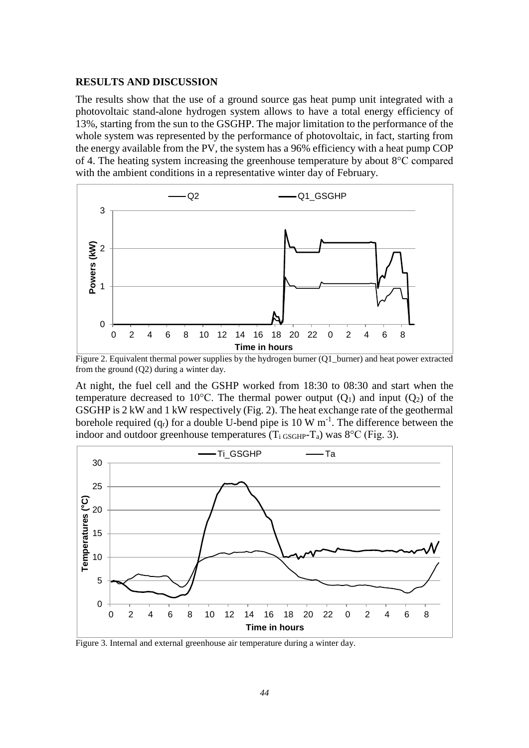#### **RESULTS AND DISCUSSION**

The results show that the use of a ground source gas heat pump unit integrated with a photovoltaic stand-alone hydrogen system allows to have a total energy efficiency of 13%, starting from the sun to the GSGHP. The major limitation to the performance of the whole system was represented by the performance of photovoltaic, in fact, starting from the energy available from the PV, the system has a 96% efficiency with a heat pump COP of 4. The heating system increasing the greenhouse temperature by about 8°C compared with the ambient conditions in a representative winter day of February.



Figure 2. Equivalent thermal power supplies by the hydrogen burner (Q1\_burner) and heat power extracted from the ground (Q2) during a winter day.

At night, the fuel cell and the GSHP worked from 18:30 to 08:30 and start when the temperature decreased to 10<sup>o</sup>C. The thermal power output  $(Q_1)$  and input  $(Q_2)$  of the GSGHP is 2 kW and 1 kW respectively (Fig. 2). The heat exchange rate of the geothermal borehole required  $(q_r)$  for a double U-bend pipe is 10 W m<sup>-1</sup>. The difference between the indoor and outdoor greenhouse temperatures  $(T_i$  GSGHP-T<sub>a</sub>) was  $8^{\circ}$ C (Fig. 3).



Figure 3. Internal and external greenhouse air temperature during a winter day.